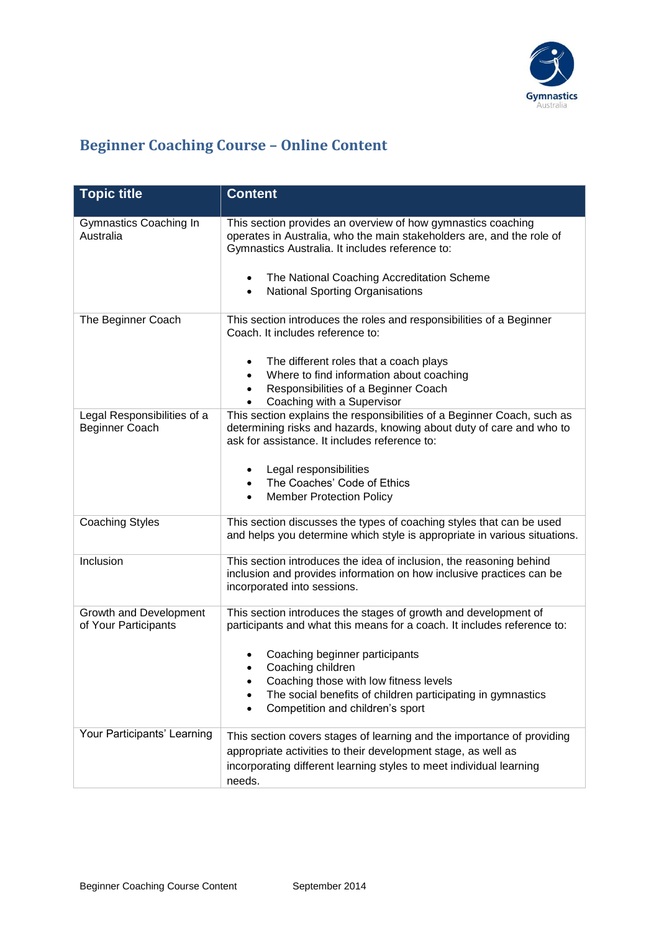

## **Beginner Coaching Course – Online Content**

| <b>Topic title</b>                             | <b>Content</b>                                                                                                                                                                                   |
|------------------------------------------------|--------------------------------------------------------------------------------------------------------------------------------------------------------------------------------------------------|
| Gymnastics Coaching In<br>Australia            | This section provides an overview of how gymnastics coaching<br>operates in Australia, who the main stakeholders are, and the role of<br>Gymnastics Australia. It includes reference to:         |
|                                                | The National Coaching Accreditation Scheme<br><b>National Sporting Organisations</b>                                                                                                             |
| The Beginner Coach                             | This section introduces the roles and responsibilities of a Beginner<br>Coach. It includes reference to:                                                                                         |
|                                                | The different roles that a coach plays                                                                                                                                                           |
|                                                | Where to find information about coaching<br>Responsibilities of a Beginner Coach                                                                                                                 |
|                                                | Coaching with a Supervisor                                                                                                                                                                       |
| Legal Responsibilities of a<br>Beginner Coach  | This section explains the responsibilities of a Beginner Coach, such as<br>determining risks and hazards, knowing about duty of care and who to<br>ask for assistance. It includes reference to: |
|                                                | Legal responsibilities                                                                                                                                                                           |
|                                                | The Coaches' Code of Ethics<br><b>Member Protection Policy</b>                                                                                                                                   |
| <b>Coaching Styles</b>                         | This section discusses the types of coaching styles that can be used<br>and helps you determine which style is appropriate in various situations.                                                |
| Inclusion                                      | This section introduces the idea of inclusion, the reasoning behind<br>inclusion and provides information on how inclusive practices can be<br>incorporated into sessions.                       |
| Growth and Development<br>of Your Participants | This section introduces the stages of growth and development of<br>participants and what this means for a coach. It includes reference to:                                                       |
|                                                | Coaching beginner participants<br>Coaching children                                                                                                                                              |
|                                                | Coaching those with low fitness levels<br>The social benefits of children participating in gymnastics<br>Competition and children's sport                                                        |
|                                                |                                                                                                                                                                                                  |
| Your Participants' Learning                    | This section covers stages of learning and the importance of providing                                                                                                                           |
|                                                | appropriate activities to their development stage, as well as                                                                                                                                    |
|                                                | incorporating different learning styles to meet individual learning<br>needs.                                                                                                                    |
|                                                |                                                                                                                                                                                                  |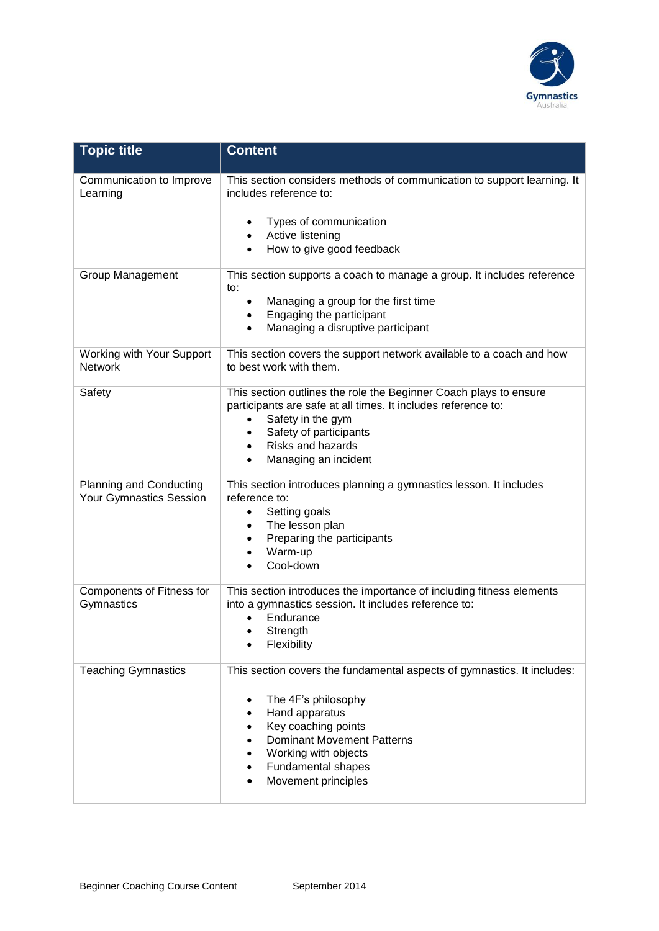

| <b>Topic title</b>                                 | <b>Content</b>                                                                                                                                                                                                                                                                        |
|----------------------------------------------------|---------------------------------------------------------------------------------------------------------------------------------------------------------------------------------------------------------------------------------------------------------------------------------------|
| Communication to Improve<br>Learning               | This section considers methods of communication to support learning. It<br>includes reference to:<br>Types of communication<br>Active listening<br>$\bullet$<br>How to give good feedback<br>$\bullet$                                                                                |
| <b>Group Management</b>                            | This section supports a coach to manage a group. It includes reference<br>to:<br>Managing a group for the first time<br>Engaging the participant<br>$\bullet$<br>Managing a disruptive participant<br>$\bullet$                                                                       |
| Working with Your Support<br><b>Network</b>        | This section covers the support network available to a coach and how<br>to best work with them.                                                                                                                                                                                       |
| Safety                                             | This section outlines the role the Beginner Coach plays to ensure<br>participants are safe at all times. It includes reference to:<br>Safety in the gym<br>$\bullet$<br>Safety of participants<br>٠<br><b>Risks and hazards</b><br>$\bullet$<br>Managing an incident<br>$\bullet$     |
| Planning and Conducting<br>Your Gymnastics Session | This section introduces planning a gymnastics lesson. It includes<br>reference to:<br>Setting goals<br>٠<br>The lesson plan<br>$\bullet$<br>Preparing the participants<br>٠<br>Warm-up<br>$\bullet$<br>Cool-down                                                                      |
| Components of Fitness for<br>Gymnastics            | This section introduces the importance of including fitness elements<br>into a gymnastics session. It includes reference to:<br>Endurance<br>Strength<br>Flexibility                                                                                                                  |
| <b>Teaching Gymnastics</b>                         | This section covers the fundamental aspects of gymnastics. It includes:<br>The 4F's philosophy<br>٠<br>Hand apparatus<br>٠<br>Key coaching points<br>$\bullet$<br><b>Dominant Movement Patterns</b><br>$\bullet$<br>Working with objects<br>Fundamental shapes<br>Movement principles |